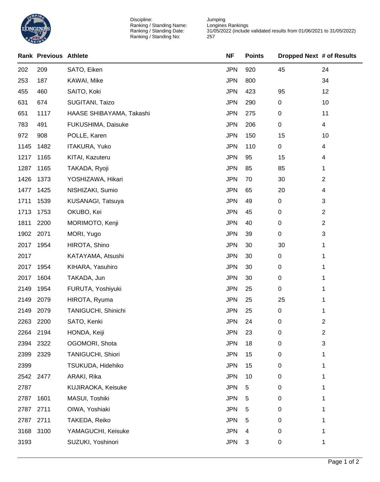

Discipline: Ranking / Standing Name: Ranking / Standing Date: Ranking / Standing No:

Jumping Longines Rankings 31/05/2022 (include validated results from 01/06/2021 to 31/05/2022) 

|      | <b>Rank Previous Athlete</b> |                          | <b>NF</b>  | <b>Points</b> | Dropped Next # of Results |                |
|------|------------------------------|--------------------------|------------|---------------|---------------------------|----------------|
| 202  | 209                          | SATO, Eiken              | <b>JPN</b> | 920           | 45                        | 24             |
| 253  | 187                          | KAWAI, Mike              | <b>JPN</b> | 800           |                           | 34             |
| 455  | 460                          | SAITO, Koki              | <b>JPN</b> | 423           | 95                        | 12             |
| 631  | 674                          | SUGITANI, Taizo          | <b>JPN</b> | 290           | 0                         | 10             |
| 651  | 1117                         | HAASE SHIBAYAMA, Takashi | <b>JPN</b> | 275           | 0                         | 11             |
| 783  | 491                          | FUKUSHIMA, Daisuke       | <b>JPN</b> | 206           | 0                         | $\overline{4}$ |
| 972  | 908                          | POLLE, Karen             | <b>JPN</b> | 150           | 15                        | 10             |
| 1145 | 1482                         | <b>ITAKURA, Yuko</b>     | <b>JPN</b> | 110           | 0                         | 4              |
| 1217 | 1165                         | KITAI, Kazuteru          | <b>JPN</b> | 95            | 15                        | 4              |
| 1287 | 1165                         | TAKADA, Ryoji            | <b>JPN</b> | 85            | 85                        | 1              |
| 1426 | 1373                         | YOSHIZAWA, Hikari        | <b>JPN</b> | 70            | 30                        | 2              |
| 1477 | 1425                         | NISHIZAKI, Sumio         | <b>JPN</b> | 65            | 20                        | 4              |
| 1711 | 1539                         | KUSANAGI, Tatsuya        | <b>JPN</b> | 49            | 0                         | 3              |
| 1713 | 1753                         | OKUBO, Kei               | <b>JPN</b> | 45            | 0                         | 2              |
| 1811 | 2200                         | MORIMOTO, Kenji          | <b>JPN</b> | 40            | 0                         | 2              |
| 1902 | 2071                         | MORI, Yugo               | <b>JPN</b> | 39            | 0                         | 3              |
| 2017 | 1954                         | HIROTA, Shino            | <b>JPN</b> | 30            | 30                        | 1              |
| 2017 |                              | KATAYAMA, Atsushi        | <b>JPN</b> | 30            | 0                         | 1              |
| 2017 | 1954                         | KIHARA, Yasuhiro         | <b>JPN</b> | 30            | 0                         | 1              |
| 2017 | 1604                         | TAKADA, Jun              | <b>JPN</b> | 30            | 0                         | 1              |
| 2149 | 1954                         | FURUTA, Yoshiyuki        | <b>JPN</b> | 25            | 0                         | 1              |
| 2149 | 2079                         | HIROTA, Ryuma            | <b>JPN</b> | 25            | 25                        | 1              |
| 2149 | 2079                         | TANIGUCHI, Shinichi      | <b>JPN</b> | 25            | 0                         | 1              |
| 2263 | 2200                         | SATO, Kenki              | <b>JPN</b> | 24            | 0                         | 2              |
| 2264 | 2194                         | HONDA, Keiji             | <b>JPN</b> | 23            | 0                         | 2              |
| 2394 | 2322                         | OGOMORI, Shota           | <b>JPN</b> | 18            | 0                         | 3              |
| 2399 | 2329                         | <b>TANIGUCHI, Shiori</b> | <b>JPN</b> | 15            | 0                         | 1              |
| 2399 |                              | TSUKUDA, Hidehiko        | <b>JPN</b> | 15            | 0                         | 1              |
| 2542 | 2477                         | ARAKI, Rika              | <b>JPN</b> | 10            | 0                         | 1              |
| 2787 |                              | KUJIRAOKA, Keisuke       | <b>JPN</b> | 5             | 0                         | 1              |
| 2787 | 1601                         | MASUI, Toshiki           | <b>JPN</b> | 5             | 0                         | 1              |
| 2787 | 2711                         | OIWA, Yoshiaki           | <b>JPN</b> | 5             | 0                         | 1              |
| 2787 | 2711                         | TAKEDA, Reiko            | <b>JPN</b> | 5             | 0                         | 1              |
| 3168 | 3100                         | YAMAGUCHI, Keisuke       | <b>JPN</b> | 4             | 0                         | 1              |
| 3193 |                              | SUZUKI, Yoshinori        | <b>JPN</b> | 3             | 0                         | 1              |